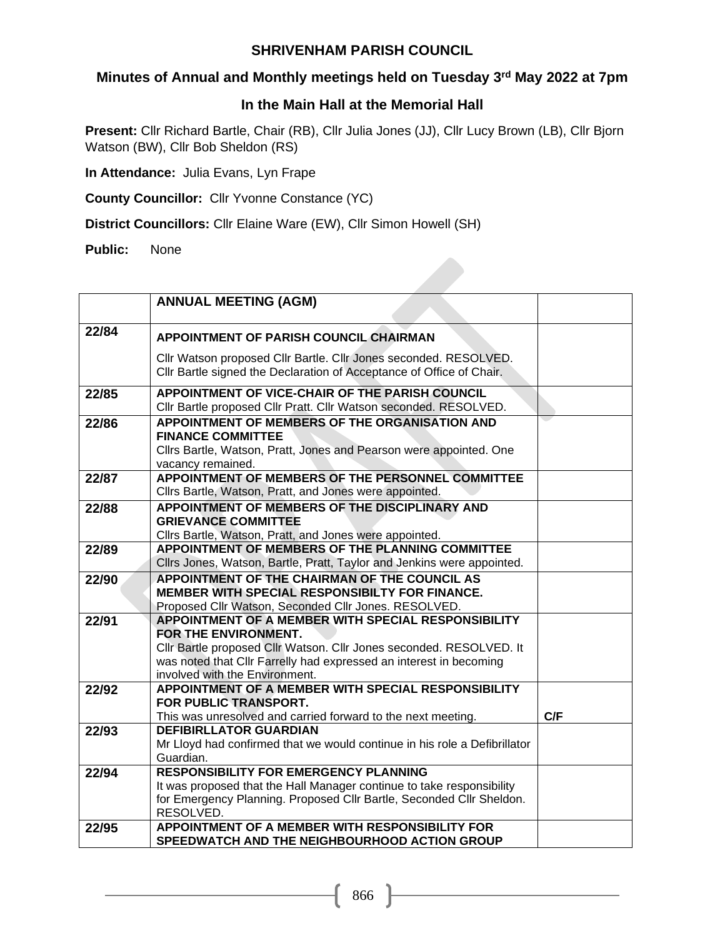## **Minutes of Annual and Monthly meetings held on Tuesday 3rd May 2022 at 7pm**

#### **In the Main Hall at the Memorial Hall**

**Present:** Cllr Richard Bartle, Chair (RB), Cllr Julia Jones (JJ), Cllr Lucy Brown (LB), Cllr Bjorn Watson (BW), Cllr Bob Sheldon (RS)

**In Attendance:** Julia Evans, Lyn Frape

**County Councillor:** Cllr Yvonne Constance (YC)

**District Councillors:** Cllr Elaine Ware (EW), Cllr Simon Howell (SH)

**Public:** None

|       | <b>ANNUAL MEETING (AGM)</b>                                                                                                                                                                                                                                |     |
|-------|------------------------------------------------------------------------------------------------------------------------------------------------------------------------------------------------------------------------------------------------------------|-----|
| 22/84 | <b>APPOINTMENT OF PARISH COUNCIL CHAIRMAN</b>                                                                                                                                                                                                              |     |
|       | Cllr Watson proposed Cllr Bartle. Cllr Jones seconded. RESOLVED.<br>Cllr Bartle signed the Declaration of Acceptance of Office of Chair.                                                                                                                   |     |
| 22/85 | APPOINTMENT OF VICE-CHAIR OF THE PARISH COUNCIL<br>Cllr Bartle proposed Cllr Pratt. Cllr Watson seconded. RESOLVED.                                                                                                                                        |     |
| 22/86 | APPOINTMENT OF MEMBERS OF THE ORGANISATION AND<br><b>FINANCE COMMITTEE</b><br>Cllrs Bartle, Watson, Pratt, Jones and Pearson were appointed. One<br>vacancy remained.                                                                                      |     |
| 22/87 | APPOINTMENT OF MEMBERS OF THE PERSONNEL COMMITTEE<br>Cllrs Bartle, Watson, Pratt, and Jones were appointed.                                                                                                                                                |     |
| 22/88 | APPOINTMENT OF MEMBERS OF THE DISCIPLINARY AND<br><b>GRIEVANCE COMMITTEE</b><br>Clirs Bartle, Watson, Pratt, and Jones were appointed.                                                                                                                     |     |
| 22/89 | APPOINTMENT OF MEMBERS OF THE PLANNING COMMITTEE<br>Cllrs Jones, Watson, Bartle, Pratt, Taylor and Jenkins were appointed.                                                                                                                                 |     |
| 22/90 | APPOINTMENT OF THE CHAIRMAN OF THE COUNCIL AS<br>MEMBER WITH SPECIAL RESPONSIBILTY FOR FINANCE.<br>Proposed Cllr Watson, Seconded Cllr Jones. RESOLVED.                                                                                                    |     |
| 22/91 | APPOINTMENT OF A MEMBER WITH SPECIAL RESPONSIBILITY<br>FOR THE ENVIRONMENT.<br>Cllr Bartle proposed Cllr Watson. Cllr Jones seconded. RESOLVED. It<br>was noted that Cllr Farrelly had expressed an interest in becoming<br>involved with the Environment. |     |
| 22/92 | APPOINTMENT OF A MEMBER WITH SPECIAL RESPONSIBILITY<br>FOR PUBLIC TRANSPORT.<br>This was unresolved and carried forward to the next meeting.                                                                                                               | C/F |
| 22/93 | <b>DEFIBIRLLATOR GUARDIAN</b><br>Mr Lloyd had confirmed that we would continue in his role a Defibrillator<br>Guardian.                                                                                                                                    |     |
| 22/94 | <b>RESPONSIBILITY FOR EMERGENCY PLANNING</b><br>It was proposed that the Hall Manager continue to take responsibility<br>for Emergency Planning. Proposed Cllr Bartle, Seconded Cllr Sheldon.<br>RESOLVED.                                                 |     |
| 22/95 | APPOINTMENT OF A MEMBER WITH RESPONSIBILITY FOR<br>SPEEDWATCH AND THE NEIGHBOURHOOD ACTION GROUP                                                                                                                                                           |     |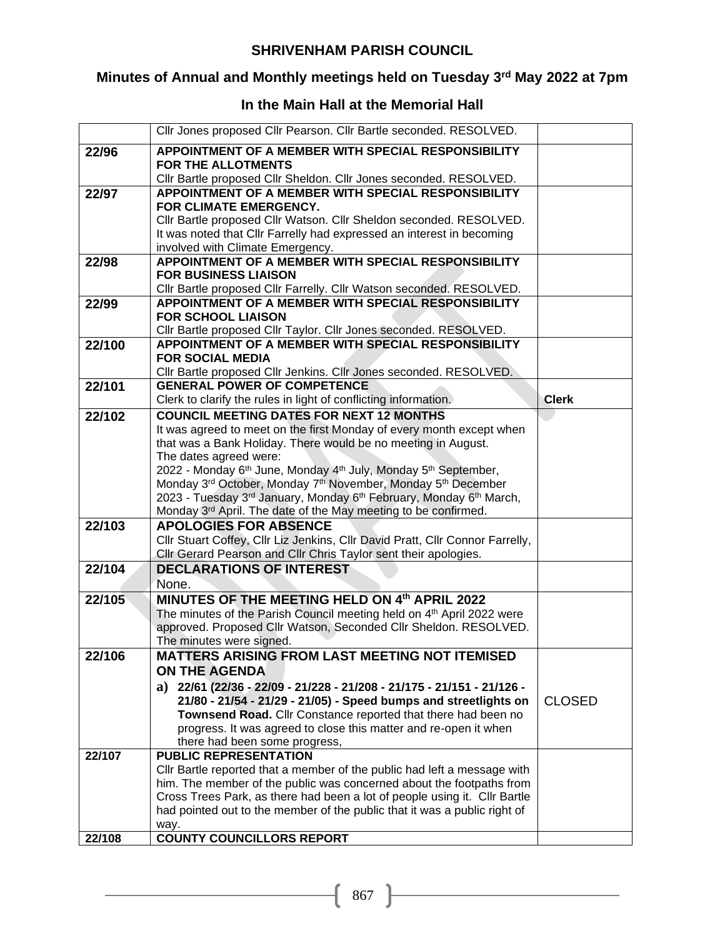## **Minutes of Annual and Monthly meetings held on Tuesday 3rd May 2022 at 7pm**

## **In the Main Hall at the Memorial Hall**

|        | Cllr Jones proposed Cllr Pearson. Cllr Bartle seconded. RESOLVED.                                                            |               |
|--------|------------------------------------------------------------------------------------------------------------------------------|---------------|
| 22/96  | APPOINTMENT OF A MEMBER WITH SPECIAL RESPONSIBILITY                                                                          |               |
|        | <b>FOR THE ALLOTMENTS</b>                                                                                                    |               |
|        | Cllr Bartle proposed Cllr Sheldon. Cllr Jones seconded. RESOLVED.                                                            |               |
| 22/97  | APPOINTMENT OF A MEMBER WITH SPECIAL RESPONSIBILITY<br>FOR CLIMATE EMERGENCY.                                                |               |
|        | Cllr Bartle proposed Cllr Watson. Cllr Sheldon seconded. RESOLVED.                                                           |               |
|        | It was noted that CIIr Farrelly had expressed an interest in becoming                                                        |               |
|        | involved with Climate Emergency.                                                                                             |               |
| 22/98  | APPOINTMENT OF A MEMBER WITH SPECIAL RESPONSIBILITY                                                                          |               |
|        | <b>FOR BUSINESS LIAISON</b>                                                                                                  |               |
|        | Cllr Bartle proposed Cllr Farrelly. Cllr Watson seconded. RESOLVED.                                                          |               |
| 22/99  | APPOINTMENT OF A MEMBER WITH SPECIAL RESPONSIBILITY<br><b>FOR SCHOOL LIAISON</b>                                             |               |
|        | Cllr Bartle proposed Cllr Taylor. Cllr Jones seconded. RESOLVED.                                                             |               |
| 22/100 | APPOINTMENT OF A MEMBER WITH SPECIAL RESPONSIBILITY                                                                          |               |
|        | <b>FOR SOCIAL MEDIA</b>                                                                                                      |               |
|        | Cllr Bartle proposed Cllr Jenkins. Cllr Jones seconded. RESOLVED.                                                            |               |
| 22/101 | <b>GENERAL POWER OF COMPETENCE</b>                                                                                           |               |
|        | Clerk to clarify the rules in light of conflicting information.                                                              | <b>Clerk</b>  |
| 22/102 | <b>COUNCIL MEETING DATES FOR NEXT 12 MONTHS</b>                                                                              |               |
|        | It was agreed to meet on the first Monday of every month except when                                                         |               |
|        | that was a Bank Holiday. There would be no meeting in August.                                                                |               |
|        | The dates agreed were:<br>2022 - Monday 6 <sup>th</sup> June, Monday 4 <sup>th</sup> July, Monday 5 <sup>th</sup> September, |               |
|        | Monday 3rd October, Monday 7th November, Monday 5th December                                                                 |               |
|        | 2023 - Tuesday 3rd January, Monday 6th February, Monday 6th March,                                                           |               |
|        | Monday 3rd April. The date of the May meeting to be confirmed.                                                               |               |
| 22/103 | <b>APOLOGIES FOR ABSENCE</b>                                                                                                 |               |
|        | Cllr Stuart Coffey, Cllr Liz Jenkins, Cllr David Pratt, Cllr Connor Farrelly,                                                |               |
|        | Cllr Gerard Pearson and Cllr Chris Taylor sent their apologies.                                                              |               |
| 22/104 | <b>DECLARATIONS OF INTEREST</b>                                                                                              |               |
|        | None.<br>MINUTES OF THE MEETING HELD ON 4th APRIL 2022                                                                       |               |
| 22/105 | The minutes of the Parish Council meeting held on 4 <sup>th</sup> April 2022 were                                            |               |
|        | approved. Proposed Cllr Watson, Seconded Cllr Sheldon. RESOLVED.                                                             |               |
|        | The minutes were signed.                                                                                                     |               |
| 22/106 | MATTERS ARISING FROM LAST MEETING NOT ITEMISED                                                                               |               |
|        | <b>ON THE AGENDA</b>                                                                                                         |               |
|        | a) $22/61$ (22/36 - 22/09 - 21/228 - 21/208 - 21/175 - 21/151 - 21/126 -                                                     |               |
|        | 21/80 - 21/54 - 21/29 - 21/05) - Speed bumps and streetlights on                                                             | <b>CLOSED</b> |
|        | Townsend Road. Cllr Constance reported that there had been no                                                                |               |
|        | progress. It was agreed to close this matter and re-open it when                                                             |               |
| 22/107 | there had been some progress,<br><b>PUBLIC REPRESENTATION</b>                                                                |               |
|        | Cllr Bartle reported that a member of the public had left a message with                                                     |               |
|        | him. The member of the public was concerned about the footpaths from                                                         |               |
|        | Cross Trees Park, as there had been a lot of people using it. Cllr Bartle                                                    |               |
|        | had pointed out to the member of the public that it was a public right of                                                    |               |
|        | way.                                                                                                                         |               |
| 22/108 | <b>COUNTY COUNCILLORS REPORT</b>                                                                                             |               |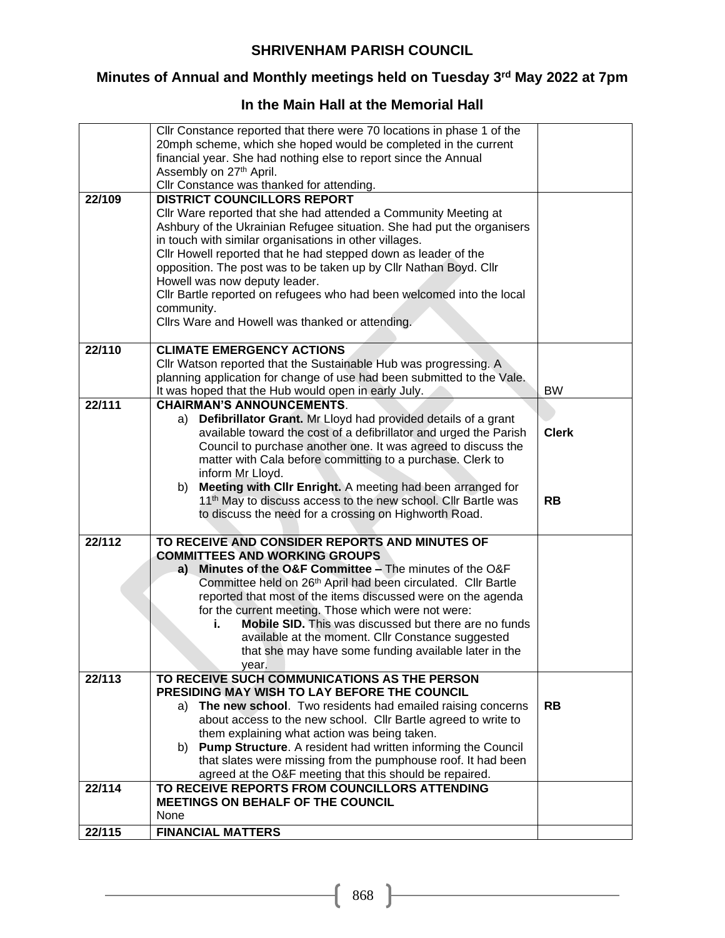## **Minutes of Annual and Monthly meetings held on Tuesday 3rd May 2022 at 7pm**

## **In the Main Hall at the Memorial Hall**

|        | Cllr Constance reported that there were 70 locations in phase 1 of the    |              |
|--------|---------------------------------------------------------------------------|--------------|
|        | 20mph scheme, which she hoped would be completed in the current           |              |
|        | financial year. She had nothing else to report since the Annual           |              |
|        | Assembly on 27th April.                                                   |              |
|        |                                                                           |              |
|        | Cllr Constance was thanked for attending.                                 |              |
| 22/109 | <b>DISTRICT COUNCILLORS REPORT</b>                                        |              |
|        | Cllr Ware reported that she had attended a Community Meeting at           |              |
|        | Ashbury of the Ukrainian Refugee situation. She had put the organisers    |              |
|        | in touch with similar organisations in other villages.                    |              |
|        | Cllr Howell reported that he had stepped down as leader of the            |              |
|        | opposition. The post was to be taken up by Cllr Nathan Boyd. Cllr         |              |
|        | Howell was now deputy leader.                                             |              |
|        | Cllr Bartle reported on refugees who had been welcomed into the local     |              |
|        | community.                                                                |              |
|        | Cllrs Ware and Howell was thanked or attending.                           |              |
|        |                                                                           |              |
| 22/110 | <b>CLIMATE EMERGENCY ACTIONS</b>                                          |              |
|        | Cllr Watson reported that the Sustainable Hub was progressing. A          |              |
|        | planning application for change of use had been submitted to the Vale.    |              |
|        | It was hoped that the Hub would open in early July.                       | <b>BW</b>    |
| 22/111 | <b>CHAIRMAN'S ANNOUNCEMENTS.</b>                                          |              |
|        | Defibrillator Grant. Mr Lloyd had provided details of a grant<br>a)       |              |
|        | available toward the cost of a defibrillator and urged the Parish         | <b>Clerk</b> |
|        | Council to purchase another one. It was agreed to discuss the             |              |
|        |                                                                           |              |
|        | matter with Cala before committing to a purchase. Clerk to                |              |
|        | inform Mr Lloyd.                                                          |              |
|        | Meeting with CIIr Enright. A meeting had been arranged for<br>b)          |              |
|        | 11 <sup>th</sup> May to discuss access to the new school. Cllr Bartle was | <b>RB</b>    |
|        | to discuss the need for a crossing on Highworth Road.                     |              |
|        |                                                                           |              |
| 22/112 | TO RECEIVE AND CONSIDER REPORTS AND MINUTES OF                            |              |
|        | <b>COMMITTEES AND WORKING GROUPS</b>                                      |              |
|        | Minutes of the O&F Committee - The minutes of the O&F<br>a)               |              |
|        | Committee held on 26 <sup>th</sup> April had been circulated. Cllr Bartle |              |
|        | reported that most of the items discussed were on the agenda              |              |
|        | for the current meeting. Those which were not were:                       |              |
|        | <b>Mobile SID.</b> This was discussed but there are no funds              |              |
|        | available at the moment. Cllr Constance suggested                         |              |
|        | that she may have some funding available later in the                     |              |
|        | year.                                                                     |              |
| 22/113 | TO RECEIVE SUCH COMMUNICATIONS AS THE PERSON                              |              |
|        | PRESIDING MAY WISH TO LAY BEFORE THE COUNCIL                              |              |
|        | a) The new school. Two residents had emailed raising concerns             | <b>RB</b>    |
|        | about access to the new school. Cllr Bartle agreed to write to            |              |
|        | them explaining what action was being taken.                              |              |
|        | b) Pump Structure. A resident had written informing the Council           |              |
|        | that slates were missing from the pumphouse roof. It had been             |              |
|        | agreed at the O&F meeting that this should be repaired.                   |              |
| 22/114 | TO RECEIVE REPORTS FROM COUNCILLORS ATTENDING                             |              |
|        | <b>MEETINGS ON BEHALF OF THE COUNCIL</b>                                  |              |
|        | None                                                                      |              |
| 22/115 | <b>FINANCIAL MATTERS</b>                                                  |              |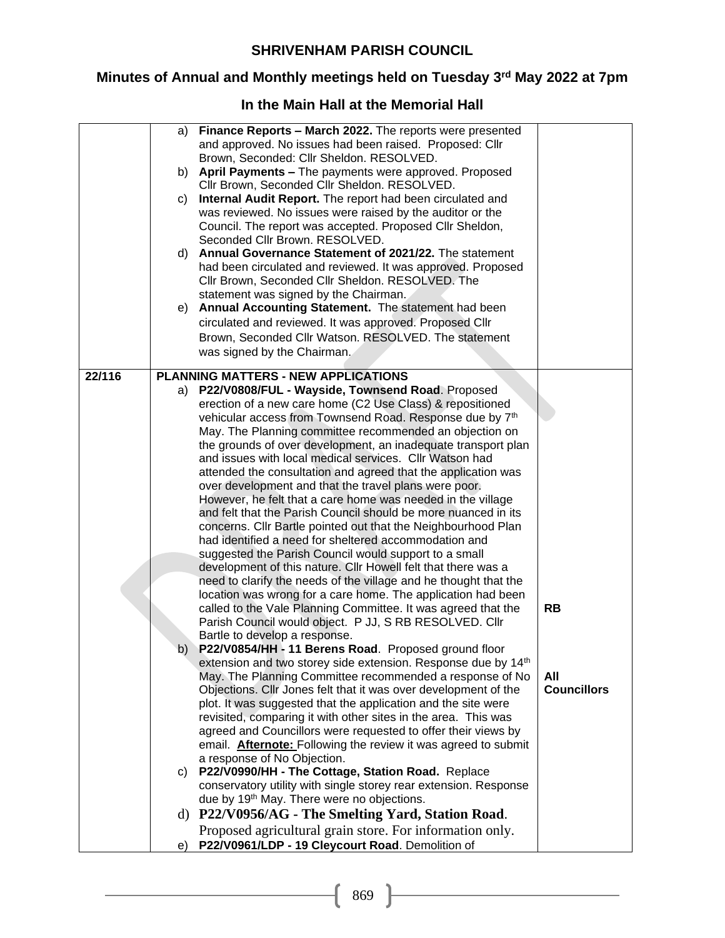# **Minutes of Annual and Monthly meetings held on Tuesday 3rd May 2022 at 7pm**

## **In the Main Hall at the Memorial Hall**

|        | a) | Finance Reports - March 2022. The reports were presented<br>and approved. No issues had been raised. Proposed: Cllr     |                    |
|--------|----|-------------------------------------------------------------------------------------------------------------------------|--------------------|
|        |    | Brown, Seconded: Cllr Sheldon. RESOLVED.                                                                                |                    |
|        | b) | April Payments - The payments were approved. Proposed                                                                   |                    |
|        |    | Cllr Brown, Seconded Cllr Sheldon. RESOLVED.                                                                            |                    |
|        | C) | Internal Audit Report. The report had been circulated and                                                               |                    |
|        |    | was reviewed. No issues were raised by the auditor or the                                                               |                    |
|        |    | Council. The report was accepted. Proposed Cllr Sheldon,                                                                |                    |
|        |    | Seconded Cllr Brown. RESOLVED.                                                                                          |                    |
|        | d) | Annual Governance Statement of 2021/22. The statement                                                                   |                    |
|        |    | had been circulated and reviewed. It was approved. Proposed                                                             |                    |
|        |    | Cllr Brown, Seconded Cllr Sheldon. RESOLVED. The                                                                        |                    |
|        |    | statement was signed by the Chairman.                                                                                   |                    |
|        | e) | Annual Accounting Statement. The statement had been                                                                     |                    |
|        |    | circulated and reviewed. It was approved. Proposed Cllr                                                                 |                    |
|        |    | Brown, Seconded Cllr Watson. RESOLVED. The statement                                                                    |                    |
|        |    | was signed by the Chairman.                                                                                             |                    |
| 22/116 |    | <b>PLANNING MATTERS - NEW APPLICATIONS</b>                                                                              |                    |
|        | a) | P22/V0808/FUL - Wayside, Townsend Road. Proposed                                                                        |                    |
|        |    | erection of a new care home (C2 Use Class) & repositioned                                                               |                    |
|        |    | vehicular access from Townsend Road. Response due by 7th                                                                |                    |
|        |    | May. The Planning committee recommended an objection on                                                                 |                    |
|        |    | the grounds of over development, an inadequate transport plan                                                           |                    |
|        |    | and issues with local medical services. Cllr Watson had                                                                 |                    |
|        |    | attended the consultation and agreed that the application was<br>over development and that the travel plans were poor.  |                    |
|        |    | However, he felt that a care home was needed in the village                                                             |                    |
|        |    | and felt that the Parish Council should be more nuanced in its                                                          |                    |
|        |    | concerns. Cllr Bartle pointed out that the Neighbourhood Plan                                                           |                    |
|        |    | had identified a need for sheltered accommodation and                                                                   |                    |
|        |    | suggested the Parish Council would support to a small                                                                   |                    |
|        |    | development of this nature. Cllr Howell felt that there was a                                                           |                    |
|        |    | need to clarify the needs of the village and he thought that the                                                        |                    |
|        |    | location was wrong for a care home. The application had been                                                            |                    |
|        |    | called to the Vale Planning Committee. It was agreed that the<br>Parish Council would object. P JJ, S RB RESOLVED. Cllr | <b>RB</b>          |
|        |    | Bartle to develop a response.                                                                                           |                    |
|        | b) | P22/V0854/HH - 11 Berens Road. Proposed ground floor                                                                    |                    |
|        |    | extension and two storey side extension. Response due by 14 <sup>th</sup>                                               |                    |
|        |    | May. The Planning Committee recommended a response of No                                                                | All                |
|        |    | Objections. Cllr Jones felt that it was over development of the                                                         | <b>Councillors</b> |
|        |    | plot. It was suggested that the application and the site were                                                           |                    |
|        |    | revisited, comparing it with other sites in the area. This was                                                          |                    |
|        |    | agreed and Councillors were requested to offer their views by                                                           |                    |
|        |    | email. <b>Afternote:</b> Following the review it was agreed to submit                                                   |                    |
|        |    | a response of No Objection.<br>c) P22/V0990/HH - The Cottage, Station Road. Replace                                     |                    |
|        |    | conservatory utility with single storey rear extension. Response                                                        |                    |
|        |    | due by 19 <sup>th</sup> May. There were no objections.                                                                  |                    |
|        |    | d) P22/V0956/AG - The Smelting Yard, Station Road.                                                                      |                    |
|        |    | Proposed agricultural grain store. For information only.                                                                |                    |
|        | e) | P22/V0961/LDP - 19 Cleycourt Road. Demolition of                                                                        |                    |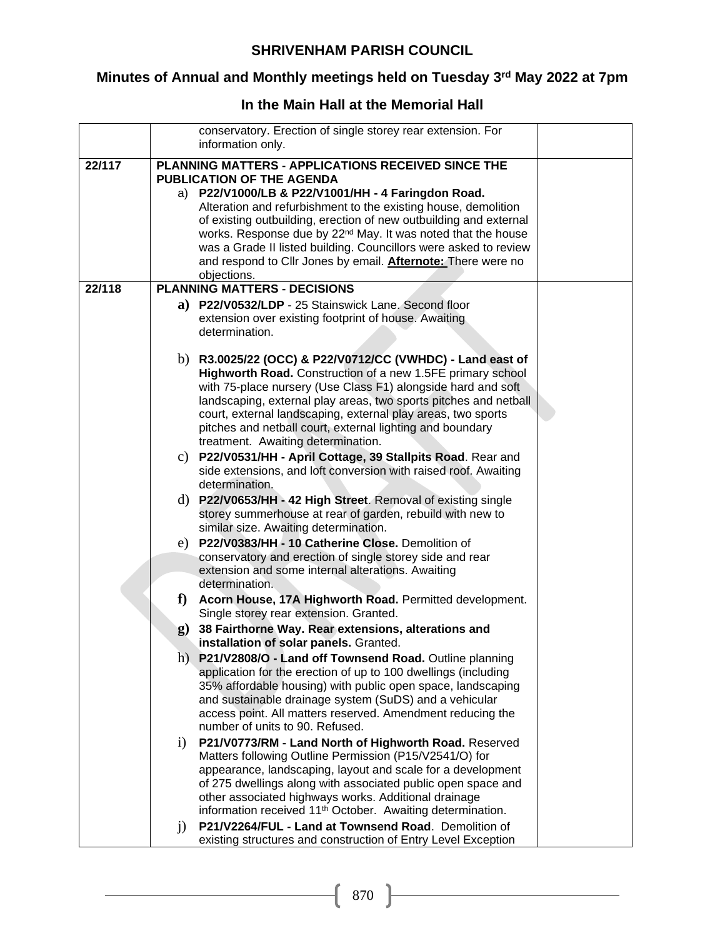# **Minutes of Annual and Monthly meetings held on Tuesday 3rd May 2022 at 7pm**

## **In the Main Hall at the Memorial Hall**

|        |              | conservatory. Erection of single storey rear extension. For                                                                     |  |
|--------|--------------|---------------------------------------------------------------------------------------------------------------------------------|--|
|        |              | information only.                                                                                                               |  |
| 22/117 |              | PLANNING MATTERS - APPLICATIONS RECEIVED SINCE THE<br><b>PUBLICATION OF THE AGENDA</b>                                          |  |
|        |              | a) P22/V1000/LB & P22/V1001/HH - 4 Faringdon Road.                                                                              |  |
|        |              | Alteration and refurbishment to the existing house, demolition                                                                  |  |
|        |              | of existing outbuilding, erection of new outbuilding and external                                                               |  |
|        |              | works. Response due by 22 <sup>nd</sup> May. It was noted that the house                                                        |  |
|        |              | was a Grade II listed building. Councillors were asked to review                                                                |  |
|        |              | and respond to Cllr Jones by email. <b>Afternote:</b> There were no                                                             |  |
|        |              | objections.<br><b>PLANNING MATTERS - DECISIONS</b>                                                                              |  |
| 22/118 |              |                                                                                                                                 |  |
|        |              | a) P22/V0532/LDP - 25 Stainswick Lane. Second floor                                                                             |  |
|        |              | extension over existing footprint of house. Awaiting<br>determination.                                                          |  |
|        |              |                                                                                                                                 |  |
|        |              | b) R3.0025/22 (OCC) & P22/V0712/CC (VWHDC) - Land east of                                                                       |  |
|        |              | Highworth Road. Construction of a new 1.5FE primary school                                                                      |  |
|        |              | with 75-place nursery (Use Class F1) alongside hard and soft                                                                    |  |
|        |              | landscaping, external play areas, two sports pitches and netball                                                                |  |
|        |              | court, external landscaping, external play areas, two sports                                                                    |  |
|        |              | pitches and netball court, external lighting and boundary                                                                       |  |
|        |              | treatment. Awaiting determination.                                                                                              |  |
|        |              | c) P22/V0531/HH - April Cottage, 39 Stallpits Road. Rear and<br>side extensions, and loft conversion with raised roof. Awaiting |  |
|        |              | determination.                                                                                                                  |  |
|        |              | d) P22/V0653/HH - 42 High Street. Removal of existing single                                                                    |  |
|        |              | storey summerhouse at rear of garden, rebuild with new to                                                                       |  |
|        |              | similar size. Awaiting determination.                                                                                           |  |
|        | e)           | P22/V0383/HH - 10 Catherine Close. Demolition of                                                                                |  |
|        |              | conservatory and erection of single storey side and rear                                                                        |  |
|        |              | extension and some internal alterations. Awaiting                                                                               |  |
|        |              | determination.                                                                                                                  |  |
|        | $f$ )        | Acorn House, 17A Highworth Road. Permitted development.                                                                         |  |
|        |              | Single storey rear extension. Granted.                                                                                          |  |
|        | $\mathbf{g}$ | 38 Fairthorne Way. Rear extensions, alterations and<br>installation of solar panels. Granted.                                   |  |
|        |              | h) P21/V2808/O - Land off Townsend Road. Outline planning                                                                       |  |
|        |              | application for the erection of up to 100 dwellings (including                                                                  |  |
|        |              | 35% affordable housing) with public open space, landscaping                                                                     |  |
|        |              | and sustainable drainage system (SuDS) and a vehicular                                                                          |  |
|        |              | access point. All matters reserved. Amendment reducing the                                                                      |  |
|        |              | number of units to 90. Refused.                                                                                                 |  |
|        | $\rm i)$     | P21/V0773/RM - Land North of Highworth Road. Reserved                                                                           |  |
|        |              | Matters following Outline Permission (P15/V2541/O) for                                                                          |  |
|        |              | appearance, landscaping, layout and scale for a development<br>of 275 dwellings along with associated public open space and     |  |
|        |              | other associated highways works. Additional drainage                                                                            |  |
|        |              | information received 11 <sup>th</sup> October. Awaiting determination.                                                          |  |
|        | $\mathbf{j}$ | P21/V2264/FUL - Land at Townsend Road. Demolition of                                                                            |  |
|        |              | existing structures and construction of Entry Level Exception                                                                   |  |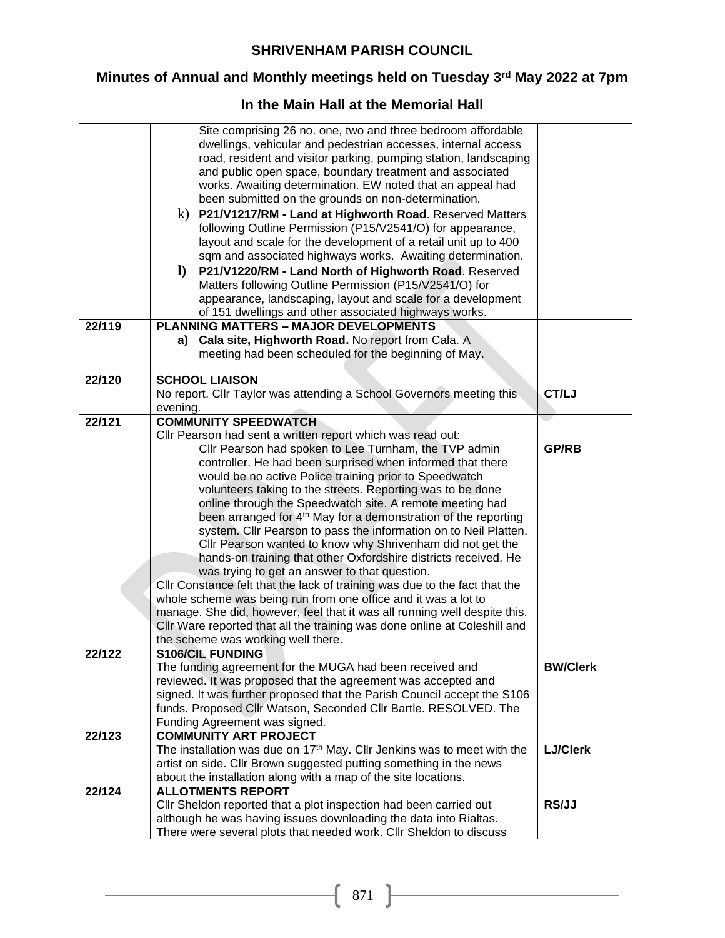## **Minutes of Annual and Monthly meetings held on Tuesday 3rd May 2022 at 7pm**

## **In the Main Hall at the Memorial Hall**

| 22/124 | <b>ALLOTMENTS REPORT</b><br>Cllr Sheldon reported that a plot inspection had been carried out<br>although he was having issues downloading the data into Rialtas.<br>There were several plots that needed work. Cllr Sheldon to discuss | <b>RS/JJ</b>    |
|--------|-----------------------------------------------------------------------------------------------------------------------------------------------------------------------------------------------------------------------------------------|-----------------|
|        | The installation was due on 17 <sup>th</sup> May. Cllr Jenkins was to meet with the<br>artist on side. Cllr Brown suggested putting something in the news<br>about the installation along with a map of the site locations.             | <b>LJ/Clerk</b> |
| 22/123 | <b>COMMUNITY ART PROJECT</b>                                                                                                                                                                                                            |                 |
|        | funds. Proposed Cllr Watson, Seconded Cllr Bartle. RESOLVED. The<br>Funding Agreement was signed.                                                                                                                                       |                 |
|        | signed. It was further proposed that the Parish Council accept the S106                                                                                                                                                                 |                 |
|        | reviewed. It was proposed that the agreement was accepted and                                                                                                                                                                           |                 |
|        | The funding agreement for the MUGA had been received and                                                                                                                                                                                | <b>BW/Clerk</b> |
| 22/122 | <b>S106/CIL FUNDING</b>                                                                                                                                                                                                                 |                 |
|        | CIIr Ware reported that all the training was done online at Coleshill and<br>the scheme was working well there.                                                                                                                         |                 |
|        | manage. She did, however, feel that it was all running well despite this.                                                                                                                                                               |                 |
|        | whole scheme was being run from one office and it was a lot to                                                                                                                                                                          |                 |
|        | CIIr Constance felt that the lack of training was due to the fact that the                                                                                                                                                              |                 |
|        | was trying to get an answer to that question.                                                                                                                                                                                           |                 |
|        | hands-on training that other Oxfordshire districts received. He                                                                                                                                                                         |                 |
|        | system. Cllr Pearson to pass the information on to Neil Platten.<br>Cllr Pearson wanted to know why Shrivenham did not get the                                                                                                          |                 |
|        | been arranged for 4 <sup>th</sup> May for a demonstration of the reporting                                                                                                                                                              |                 |
|        | online through the Speedwatch site. A remote meeting had                                                                                                                                                                                |                 |
|        | volunteers taking to the streets. Reporting was to be done                                                                                                                                                                              |                 |
|        | would be no active Police training prior to Speedwatch                                                                                                                                                                                  |                 |
|        | controller. He had been surprised when informed that there                                                                                                                                                                              |                 |
|        | Cllr Pearson had spoken to Lee Turnham, the TVP admin                                                                                                                                                                                   | <b>GP/RB</b>    |
|        | Cllr Pearson had sent a written report which was read out:                                                                                                                                                                              |                 |
| 22/121 | <b>COMMUNITY SPEEDWATCH</b>                                                                                                                                                                                                             |                 |
|        | No report. Cllr Taylor was attending a School Governors meeting this<br>evening.                                                                                                                                                        | CT/LJ           |
| 22/120 | <b>SCHOOL LIAISON</b>                                                                                                                                                                                                                   |                 |
|        |                                                                                                                                                                                                                                         |                 |
|        | meeting had been scheduled for the beginning of May.                                                                                                                                                                                    |                 |
|        | Cala site, Highworth Road. No report from Cala. A<br>a)                                                                                                                                                                                 |                 |
| 22/119 | <b>PLANNING MATTERS - MAJOR DEVELOPMENTS</b>                                                                                                                                                                                            |                 |
|        | of 151 dwellings and other associated highways works.                                                                                                                                                                                   |                 |
|        | appearance, landscaping, layout and scale for a development                                                                                                                                                                             |                 |
|        | $\bf{D}$<br>P21/V1220/RM - Land North of Highworth Road. Reserved<br>Matters following Outline Permission (P15/V2541/O) for                                                                                                             |                 |
|        | sqm and associated highways works. Awaiting determination.                                                                                                                                                                              |                 |
|        | layout and scale for the development of a retail unit up to 400                                                                                                                                                                         |                 |
|        | following Outline Permission (P15/V2541/O) for appearance,                                                                                                                                                                              |                 |
|        | P21/V1217/RM - Land at Highworth Road. Reserved Matters<br>k)                                                                                                                                                                           |                 |
|        | been submitted on the grounds on non-determination.                                                                                                                                                                                     |                 |
|        | works. Awaiting determination. EW noted that an appeal had                                                                                                                                                                              |                 |
|        | and public open space, boundary treatment and associated                                                                                                                                                                                |                 |
|        | road, resident and visitor parking, pumping station, landscaping                                                                                                                                                                        |                 |
|        | dwellings, vehicular and pedestrian accesses, internal access                                                                                                                                                                           |                 |
|        | Site comprising 26 no. one, two and three bedroom affordable                                                                                                                                                                            |                 |